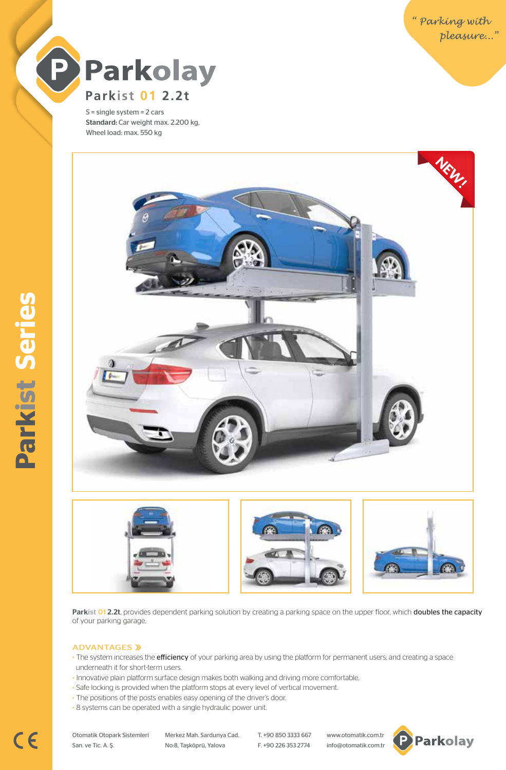

S = single system = 2 cars Standard: Car weight max. 2.200 kg, Wheel load: max. 550 kg



Parkist 01 2.2t, provides dependent parking solution by creating a parking space on the upper floor, which doubles the capacity of your parking garage.

## ADVANTAGES »

- The system increases the efficiency of your parking area by using the platform for permanent users; and creating a space underneath it for short-term users.
- Innovative plain platform surface design makes both walking and driving more comfortable.
- Safe locking is provided when the platform stops at every level of vertical movement.
- The positions of the posts enables easy opening of the driver's door.
- 8 systems can be operated with a single hydraulic power unit.

Otomatik Otopark Sistemleri Merkez Mah. Sardunya Cad. T. +90 850 3333 667 www.otomatik.com.tr San. ve Tic. A. Ş. No:8, Taşköprü, Yalova F. +90 226 353 2774 info@otomatik.com.tr

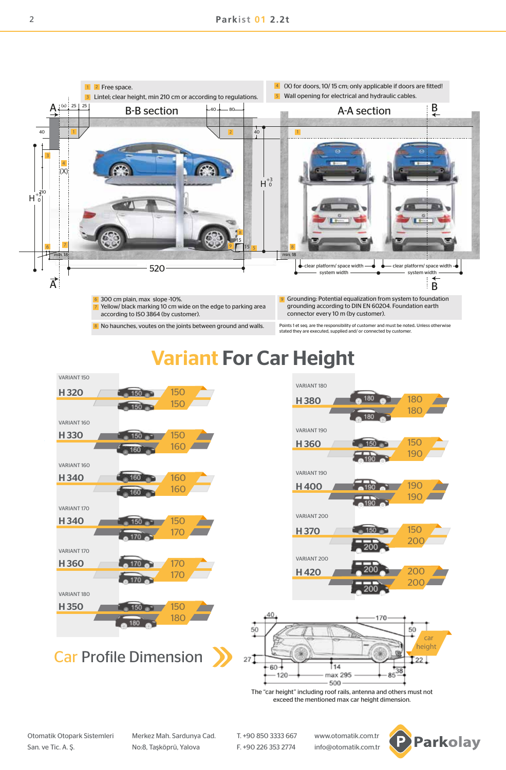

No haunches, voutes on the joints between ground and walls.

Points 1 et seq. are the responsibility of customer and must be noted. Unless otherwise stated they are executed, supplied and/ or connected by customer.

# Variant For Car Height







The "car height" including roof rails, antenna and others must not exceed the mentioned max car height dimension.

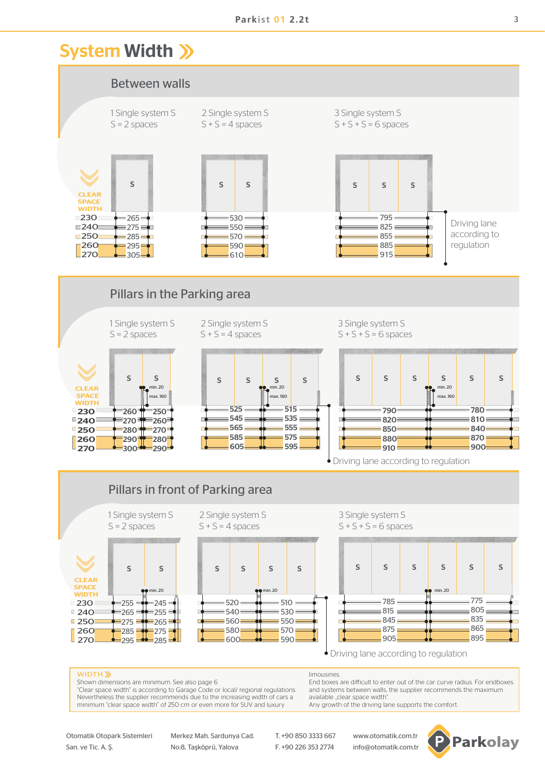# System Width >>>



Otomatik Otopark Sistemleri Merkez Mah. Sardunya Cad. T. +90 850 3333 667 www.otomatik.com.tr San. ve Tic. A. Ş. No:8, Taşköprü, Yalova F. +90 226 353 2774 info@otomatik.com.tr

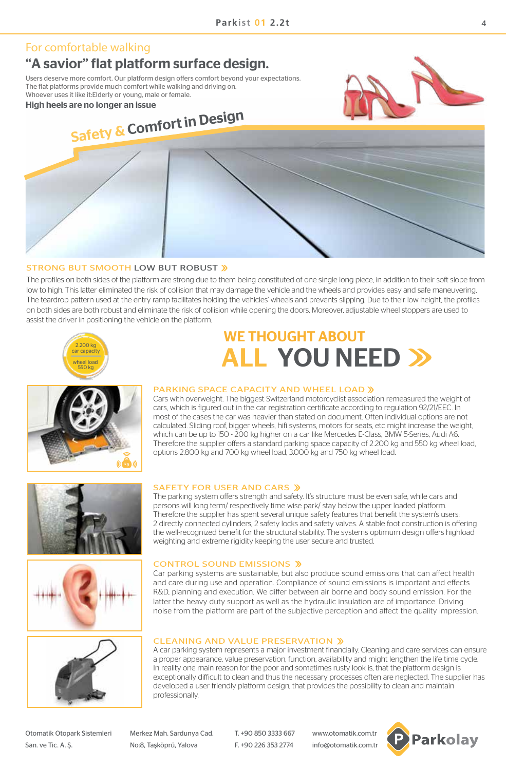## For comfortable walking

## "A savior" flat platform surface design.

Users deserve more comfort. Our platform design offers comfort beyond your expectations. The flat platforms provide much comfort while walking and driving on. Whoever uses it like it:Elderly or young, male or female.

High heels are no longer an issue



# Safety & Comfort in Design

## STRONG BUT SMOOTH LOW BUT ROBUST

The profiles on both sides of the platform are strong due to them being constituted of one single long piece, in addition to their soft slope from low to high. This latter eliminated the risk of collision that may damage the vehicle and the wheels and provides easy and safe maneuvering. The teardrop pattern used at the entry ramp facilitates holding the vehicles' wheels and prevents slipping. Due to their low height, the profiles on both sides are both robust and eliminate the risk of collision while opening the doors. Moreover, adjustable wheel stoppers are used to assist the driver in positioning the vehicle on the platform.





# WE THOUGHT ABOUT **ALL YOU NEED >>**

## PARKING SPACE CAPACITY AND WHEEL LOAD »

Cars with overweight. The biggest Switzerland motorcyclist association remeasured the weight of cars, which is figured out in the car registration certificate according to regulation 92/21/EEC. In most of the cases the car was heavier than stated on document. Often individual options are not calculated. Sliding roof, bigger wheels, hifi systems, motors for seats, etc might increase the weight, which can be up to 150 - 200 kg higher on a car like Mercedes E-Class, BMW 5-Series, Audi A6. Therefore the supplier offers a standard parking space capacity of 2.200 kg and 550 kg wheel load, options 2.800 kg and 700 kg wheel load, 3.000 kg and 750 kg wheel load.







## SAFETY FOR USER AND CARS »

The parking system offers strength and safety. It's structure must be even safe, while cars and persons will long term/ respectively time wise park/ stay below the upper loaded platform. Therefore the supplier has spent several unique safety features that benefit the system's users: 2 directly connected cylinders, 2 safety locks and safety valves. A stable foot construction is offering the well-recognized benefit for the structural stability. The systems optimum design offers highload weighting and extreme rigidity keeping the user secure and trusted.

## CONTROL SOUND EMISSIONS »

Car parking systems are sustainable, but also produce sound emissions that can affect health and care during use and operation. Compliance of sound emissions is important and effects R&D, planning and execution. We differ between air borne and body sound emission. For the latter the heavy duty support as well as the hydraulic insulation are of importance. Driving noise from the platform are part of the subjective perception and affect the quality impression.

## CLEANING AND VALUE PRESERVATION

A car parking system represents a major investment financially. Cleaning and care services can ensure a proper appearance, value preservation, function, availability and might lengthen the life time cycle. In reality one main reason for the poor and sometimes rusty look is, that the platform design is exceptionally difficult to clean and thus the necessary processes often are neglected. The supplier has developed a user friendly platform design, that provides the possibility to clean and maintain professionally.

Otomatik Otopark Sistemleri Merkez Mah. Sardunya Cad. T. +90 850 3333 667 www.otomatik.com.tr

San. ve Tic. A. S. No:8, Taşköprü, Yalova F. +90 226 353 2774 info@otomatik.com.tr

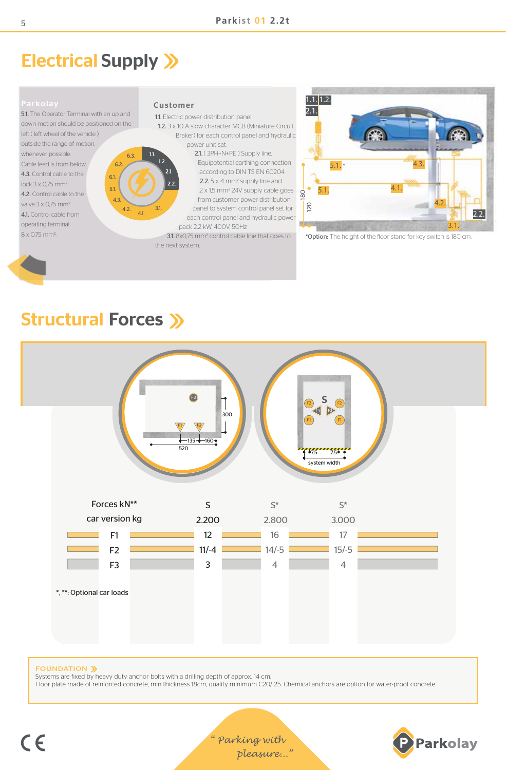# Electrical Supply >>

5.1. The Operator Terminal with an up and down motion should be positioned on the left ( left wheel of the vehicle ) outside the range of motion, whenever possible. 6.3 Cable feed is from below.  $6.2$ 4.3. Control cable to the  $6.1$ lock 3 x 0,75 mm2.  $51$ 4.2. Control cable to the valve 3 x 0,75 mm2. 4.3.  $4.2.$   $4.1.$   $3.1.$ 4.1. Control cable from operating terminal 8 x 0,75 mm2.

## Customer

 $1.1.$ 

1.1. Electric power distribution panel.

 1.2. 3 x 10 A slow character MCB (Miniature Circuit Braker) for each control panel and hydraulic power unit set.

> 2.1. ( 3PH+N+PE ) Supply line, Equipotential earthing connection according to DIN TS EN 60204. 2.2.5 x 4 mm<sup>2</sup> supply line and 2 x 1,5 mm2 24V supply cable goes from customer power distribution panel to system control panel set for each control panel and hydraulic power pack 2.2 kW, 400V, 50Hz

 3.1. 8x0,75 mm2 control cable line that goes to the next system.

4.3. 3.1. 4.2. 5.1. 4.1. 5.1. \* 120 180 2.1. 1.2. 1.1. 2.2.

\*Option: The height of the floor stand for key switch is 180 cm.

# Structural Forces >>>



FOUNDATION >>

Systems are fixed by heavy duty anchor bolts with a drilling depth of approx. 14 cm. Floor plate made of reinforced concrete, min thickness 18cm, quality minimum C20/ 25. Chemical anchors are option for water-proof concrete.

5

" Parking with pleasure..."